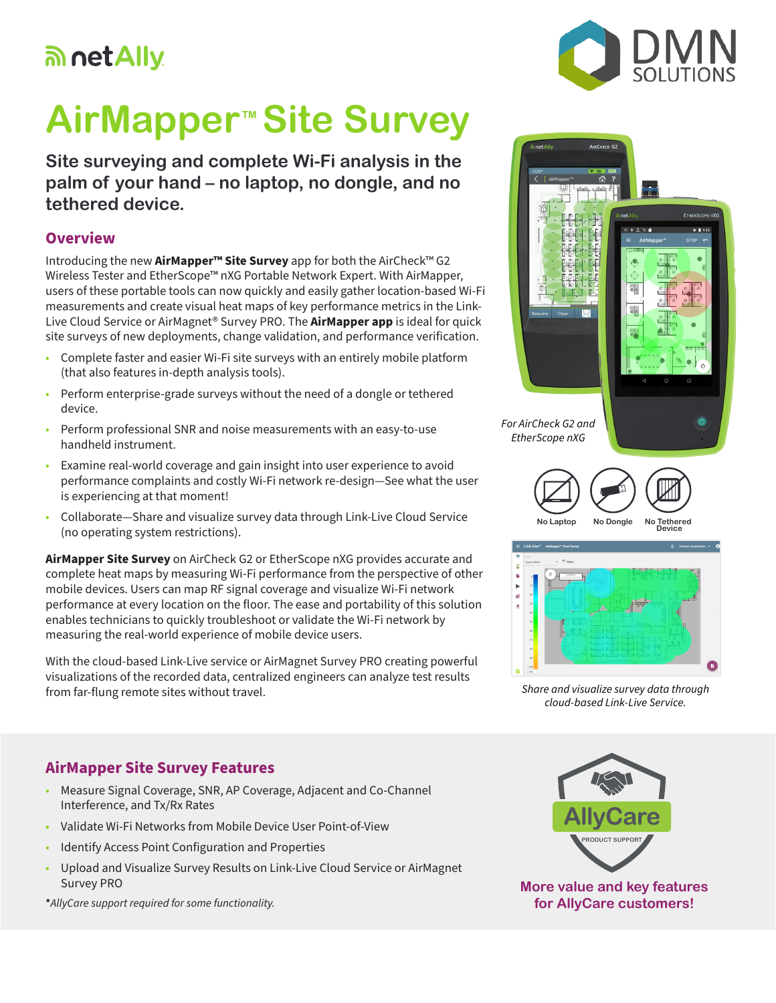## an net Ally.

# **AirMapper™ Site Survey**

**Site surveying and complete Wi-Fi analysis in the palm of your hand – no laptop, no dongle, and no tethered device.**

#### **Overview**

Introducing the new **AirMapper™ Site Survey** app for both the AirCheck™ G2 Wireless Tester and EtherScope™ nXG Portable Network Expert. With AirMapper, users of these portable tools can now quickly and easily gather location-based Wi-Fi measurements and create visual heat maps of key performance metrics in the Link-Live Cloud Service or AirMagnet® Survey PRO. The **AirMapper app** is ideal for quick site surveys of new deployments, change validation, and performance verification.

- Complete faster and easier Wi-Fi site surveys with an entirely mobile platform (that also features in-depth analysis tools).
- Perform enterprise-grade surveys without the need of a dongle or tethered device.
- Perform professional SNR and noise measurements with an easy-to-use handheld instrument.
- Examine real-world coverage and gain insight into user experience to avoid performance complaints and costly Wi-Fi network re-design—See what the user is experiencing at that moment!
- Collaborate—Share and visualize survey data through Link-Live Cloud Service (no operating system restrictions).

**AirMapper Site Survey** on AirCheck G2 or EtherScope nXG provides accurate and complete heat maps by measuring Wi-Fi performance from the perspective of other mobile devices. Users can map RF signal coverage and visualize Wi-Fi network performance at every location on the floor. The ease and portability of this solution enables technicians to quickly troubleshoot or validate the Wi-Fi network by measuring the real-world experience of mobile device users.

With the cloud-based Link-Live service or AirMagnet Survey PRO creating powerful visualizations of the recorded data, centralized engineers can analyze test results from far-flung remote sites without travel.

#### **AirMapper Site Survey Features**

- Measure Signal Coverage, SNR, AP Coverage, Adjacent and Co-Channel Interference, and Tx/Rx Rates
- Validate Wi-Fi Networks from Mobile Device User Point-of-View
- Identify Access Point Configuration and Properties
- Upload and Visualize Survey Results on Link-Live Cloud Service or AirMagnet Survey PRO

**\****AllyCare support required for some functionality.*





*Share and visualize survey data through cloud-based Link-Live Service.*



**More value and key features for AllyCare customers!**